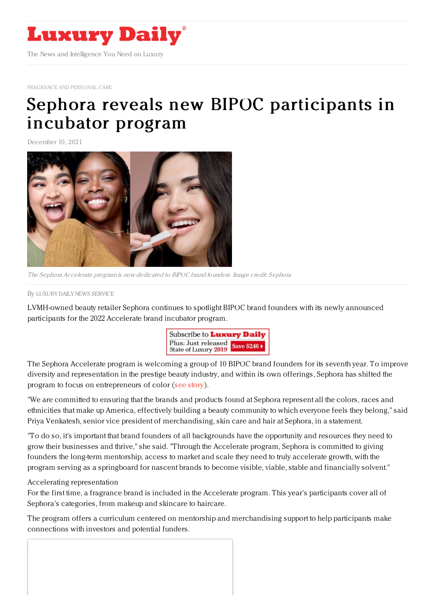

[FRAGRANCE](https://www.luxurydaily.com/category/sectors/fragrance-and-personal-care/) AND PERSONAL CARE

## Sephora reveals new BIPOC [participants](https://www.luxurydaily.com/?p=341974) in incubator program

December 10, 2021



The Sephora Accelerate program is now dedicated to BIPOC brand founders. Image credit: Sephora

By LUXURY DAILY NEWS [SERVICE](file:///author/luxury-daily-news-service)

LVMH-owned beauty retailer Sephora continues to spotlight BIPOC brand founders with its newly announced participants for the 2022 Accelerate brand incubator program.



The Sephora Accelerate program is welcoming a group of 10 BIPOC brand founders for its seventh year. To improve diversity and representation in the prestige beauty industry, and within its own offerings, Sephora has shifted the program to focus on entrepreneurs of color (see [story](https://www.luxurydaily.com/sephora-welcomes-bipoc-owned-brands-to-incubator-program/)).

"We are committed to ensuring that the brands and products found at Sephora represent all the colors, races and ethnicities that make up America, effectively building a beauty community to which everyone feels they belong," said Priya Venkatesh, senior vice president of merchandising, skin care and hair at Sephora, in a statement.

"To do so, it's important that brand founders of all backgrounds have the opportunity and resources they need to grow their businesses and thrive," she said. "Through the Accelerate program, Sephora is committed to giving founders the long-term mentorship, access to market and scale they need to truly accelerate growth, with the program serving as a springboard for nascent brands to become visible, viable, stable and financially solvent."

## Accelerating representation

For the first time, a fragrance brand is included in the Accelerate program. This year's participants cover all of Sephora's categories, from makeup and skincare to haircare.

The program offers a curriculum centered on mentorship and merchandising support to help participants make connections with investors and potential funders.